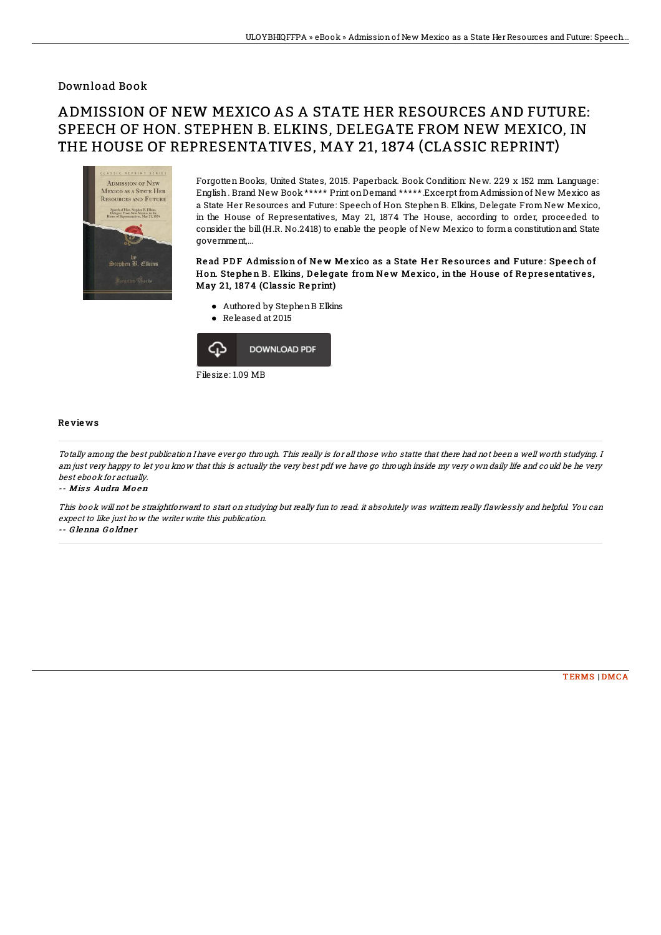## Download Book

# ADMISSION OF NEW MEXICO AS A STATE HER RESOURCES AND FUTURE: SPEECH OF HON. STEPHEN B. ELKINS, DELEGATE FROM NEW MEXICO, IN THE HOUSE OF REPRESENTATIVES, MAY 21, 1874 (CLASSIC REPRINT)



Forgotten Books, United States, 2015. Paperback. Book Condition: New. 229 x 152 mm. Language: English. Brand New Book \*\*\*\*\* Print onDemand \*\*\*\*\*.Excerpt fromAdmissionof New Mexico as a State Her Resources and Future: Speech of Hon. Stephen B. Elkins, Delegate From New Mexico, in the House of Representatives, May 21, 1874 The House, according to order, proceeded to consider the bill (H.R. No.2418) to enable the people of New Mexico to forma constitutionand State government,...

### Read PDF Admission of New Mexico as a State Her Resources and Future: Speech of Hon. Stephen B. Elkins, Delegate from New Mexico, in the House of Representatives, May 21, 1874 (Classic Reprint)

- Authored by StephenB Elkins
- Released at 2015



#### Re vie ws

Totally among the best publication I have ever go through. This really is for all those who statte that there had not been <sup>a</sup> well worth studying. I am just very happy to let you know that this is actually the very best pdf we have go through inside my very own daily life and could be he very best ebook for actually.

#### -- Miss Audra Moen

This book will not be straightforward to start on studying but really fun to read. it absolutely was writtern really flawlessly and helpful. You can expect to like just how the writer write this publication.

-- G lenna G o ldne <sup>r</sup>